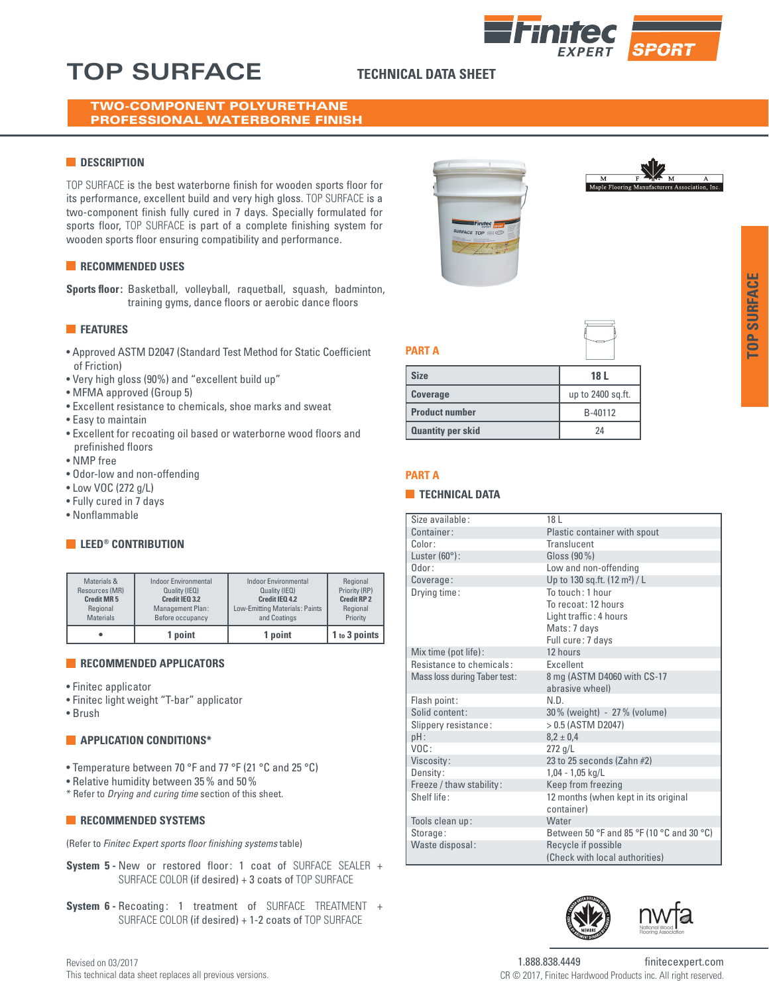## **TOP SURFACE TECHNICAL DATA SHEET**

### TWO-COMPONENT POLYURETHANE PROFESSIONAL WATERBORNE FINISH

### **N** DESCRIPTION

TOP SURFACE is the best waterborne finish for wooden sports floor for its performance, excellent build and very high gloss. TOP SURFACE is a two-component finish fully cured in 7 days. Specially formulated for sports floor, TOP SURFACE is part of a complete finishing system for wooden sports floor ensuring compatibility and performance.

### **RECOMMENDED USES**

**Sports floor:** Basketball, volleyball, raquetball, squash, badminton, training gyms, dance floors or aerobic dance floors

### **FEATURES**

- Approved ASTM D2047 (Standard Test Method for Static Coefficient of Friction)
- Very high gloss (90%) and "excellent build up"
- MFMA approved (Group 5)
- Excellent resistance to chemicals, shoe marks and sweat
- Easy to maintain
- Excellent for recoating oil based or waterborne wood floors and prefinished floors
- NMP free
- Odor-low and non-offending
- Low VOC (272 g/L)
- Fully cured in 7 days
- Nonflammable

### **EXECUTE CONTRIBUTION**

|                   | 1 point              | 1 point                        | 1 to 3 points      |
|-------------------|----------------------|--------------------------------|--------------------|
| Regional          | Management Plan:     | Low-Emitting Materials: Paints | Regional           |
| <b>Materials</b>  | Before occupancy     | and Coatings                   | Priority           |
| <b>Credit MR5</b> | Credit IEO 3.2       | Credit IEO 4.2                 | <b>Credit RP 2</b> |
| Materials &       | Indoor Environmental | Indoor Environmental           | Regional           |
| Resources (MR)    | Quality (IEQ)        | Quality (IEQ)                  | Priority (RP)      |

### **RECOMMENDED APPLICATORS**

- Finitec applicator
- Finitec light weight "T-bar" applicator
- Brush

### **APPLICATION CONDITIONS\***

- Temperature between 70 °F and 77 °F (21 °C and 25 °C)
- Relative humidity between 35% and 50%
- \* Refer to *Drying and curing time* section of this sheet.

### **RECOMMENDED SYSTEMS**

(Refer to *Finitec Expert sports floor finishing systems* table)

- **System 5 -** New or restored floor: 1 coat of SURFACE SEALER + SURFACE COLOR (if desired) + 3 coats of TOP SURFACE
- **System 6 -** Recoating: 1 treatment of SURFACE TREATMENT + SURFACE COLOR (if desired) + 1-2 coats of TOP SURFACE







### **PART A**

| <b>Size</b>              | 18 L              |
|--------------------------|-------------------|
| <b>Coverage</b>          | up to 2400 sq.ft. |
| <b>Product number</b>    | B-40112           |
| <b>Quantity per skid</b> | 2Δ                |

### **PART A**

### **TECHNICAL DATA**

| Size available:              | 18 L                                      |  |
|------------------------------|-------------------------------------------|--|
| Container:                   | Plastic container with spout              |  |
| Color:                       | Translucent                               |  |
| Luster $(60^{\circ})$ :      | Gloss (90 %)                              |  |
| $0$ dor:                     | Low and non-offending                     |  |
| Coverage:                    | Up to 130 sq.ft. (12 m <sup>2</sup> ) / L |  |
| Drying time:                 | To touch: 1 hour                          |  |
|                              | To recoat: 12 hours                       |  |
|                              | Light traffic: 4 hours                    |  |
|                              | Mats: 7 days                              |  |
|                              | Full cure: 7 days                         |  |
| Mix time (pot life):         | 12 hours                                  |  |
| Resistance to chemicals:     | <b>Excellent</b>                          |  |
| Mass loss during Taber test: | 8 mg (ASTM D4060 with CS-17               |  |
|                              | abrasive wheel)                           |  |
| Flash point:                 | N.D.                                      |  |
| Solid content:               | 30% (weight) - 27% (volume)               |  |
| Slippery resistance:         | $>0.5$ (ASTM D2047)                       |  |
| pH:                          | $8.2 \pm 0.4$                             |  |
| $V$ $O$ $C$ :                | $272$ g/L                                 |  |
| Viscosity:                   | 23 to 25 seconds (Zahn $#2$ )             |  |
| Density:                     | $1,04 - 1,05$ kg/L                        |  |
| Freeze / thaw stability:     | Keep from freezing                        |  |
| Shelf life:                  | 12 months (when kept in its original      |  |
|                              | container)                                |  |
| Tools clean up:              | Water                                     |  |
| Storage:                     | Between 50 °F and 85 °F (10 °C and 30 °C) |  |
| Waste disposal:              | Recycle if possible                       |  |
|                              | (Check with local authorities)            |  |